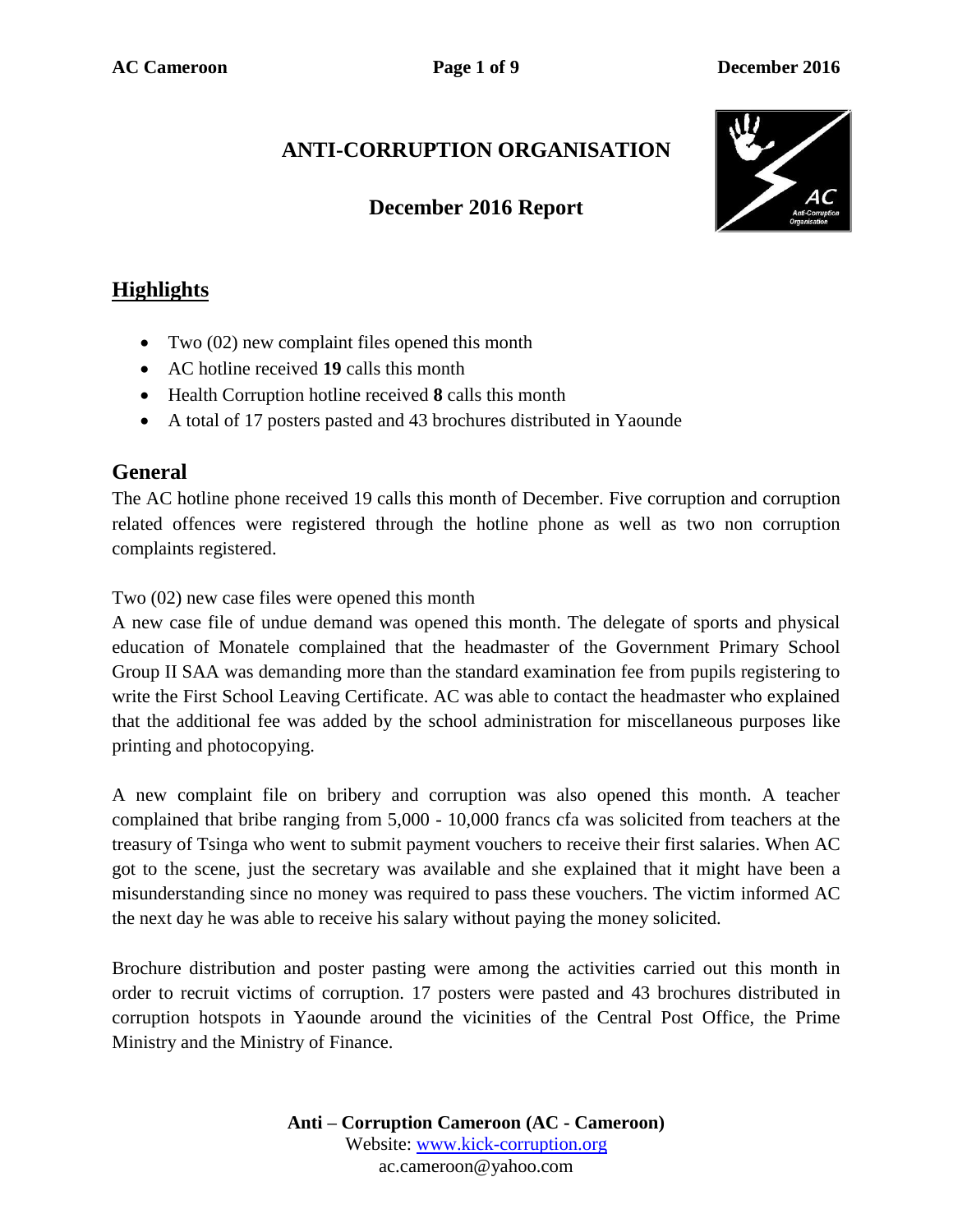# **ANTI-CORRUPTION ORGANISATION**

## **December 2016 Report**



## **Highlights**

- Two (02) new complaint files opened this month
- AC hotline received **19** calls this month
- Health Corruption hotline received **8** calls this month
- A total of 17 posters pasted and 43 brochures distributed in Yaounde

### **General**

The AC hotline phone received 19 calls this month of December. Five corruption and corruption related offences were registered through the hotline phone as well as two non corruption complaints registered.

Two (02) new case files were opened this month

A new case file of undue demand was opened this month. The delegate of sports and physical education of Monatele complained that the headmaster of the Government Primary School Group II SAA was demanding more than the standard examination fee from pupils registering to write the First School Leaving Certificate. AC was able to contact the headmaster who explained that the additional fee was added by the school administration for miscellaneous purposes like printing and photocopying.

A new complaint file on bribery and corruption was also opened this month. A teacher complained that bribe ranging from 5,000 - 10,000 francs cfa was solicited from teachers at the treasury of Tsinga who went to submit payment vouchers to receive their first salaries. When AC got to the scene, just the secretary was available and she explained that it might have been a misunderstanding since no money was required to pass these vouchers. The victim informed AC the next day he was able to receive his salary without paying the money solicited.

Brochure distribution and poster pasting were among the activities carried out this month in order to recruit victims of corruption. 17 posters were pasted and 43 brochures distributed in corruption hotspots in Yaounde around the vicinities of the Central Post Office, the Prime Ministry and the Ministry of Finance.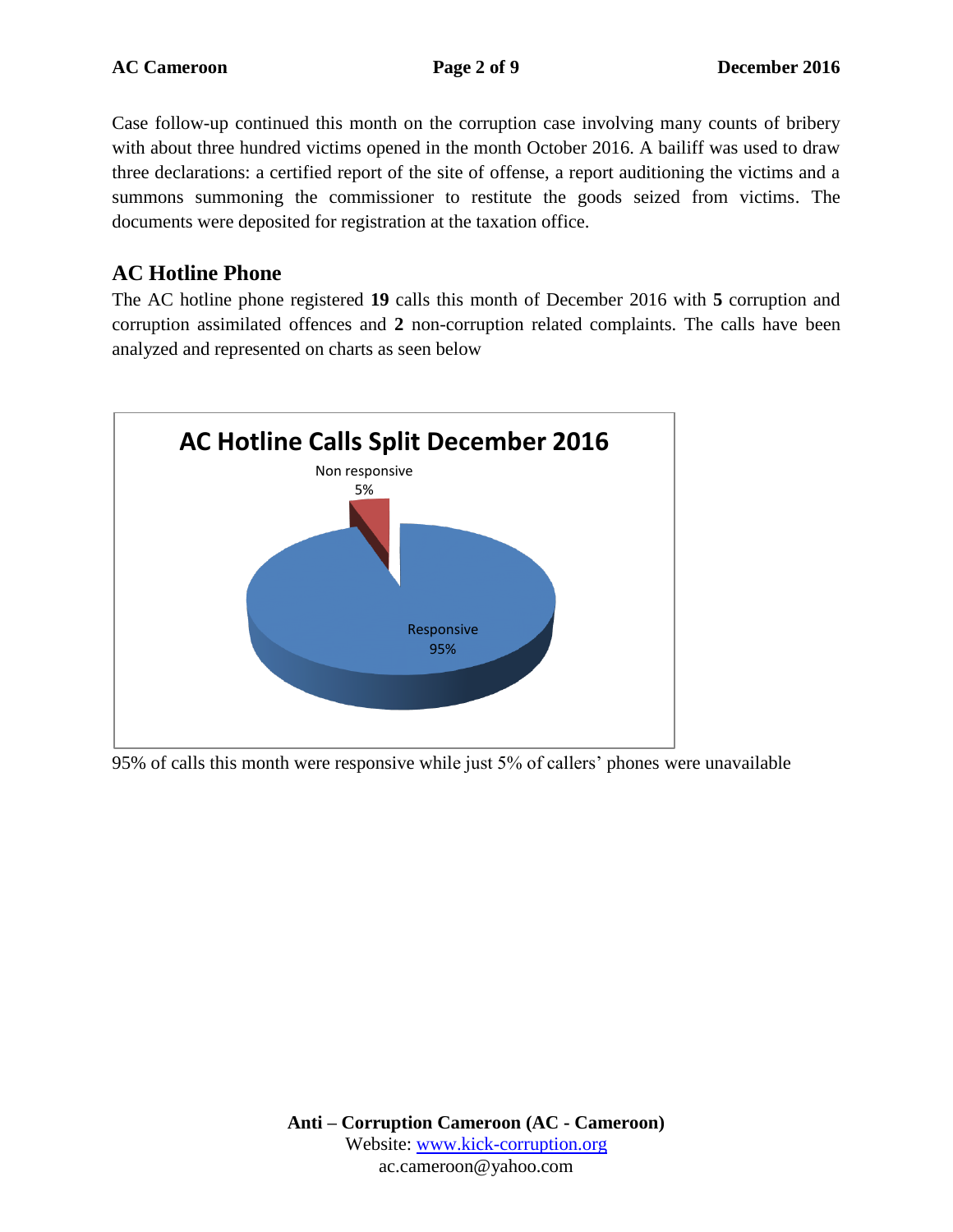Case follow-up continued this month on the corruption case involving many counts of bribery with about three hundred victims opened in the month October 2016. A bailiff was used to draw three declarations: a certified report of the site of offense, a report auditioning the victims and a summons summoning the commissioner to restitute the goods seized from victims. The documents were deposited for registration at the taxation office.

### **AC Hotline Phone**

The AC hotline phone registered **19** calls this month of December 2016 with **5** corruption and corruption assimilated offences and **2** non-corruption related complaints. The calls have been analyzed and represented on charts as seen below



95% of calls this month were responsive while just 5% of callers' phones were unavailable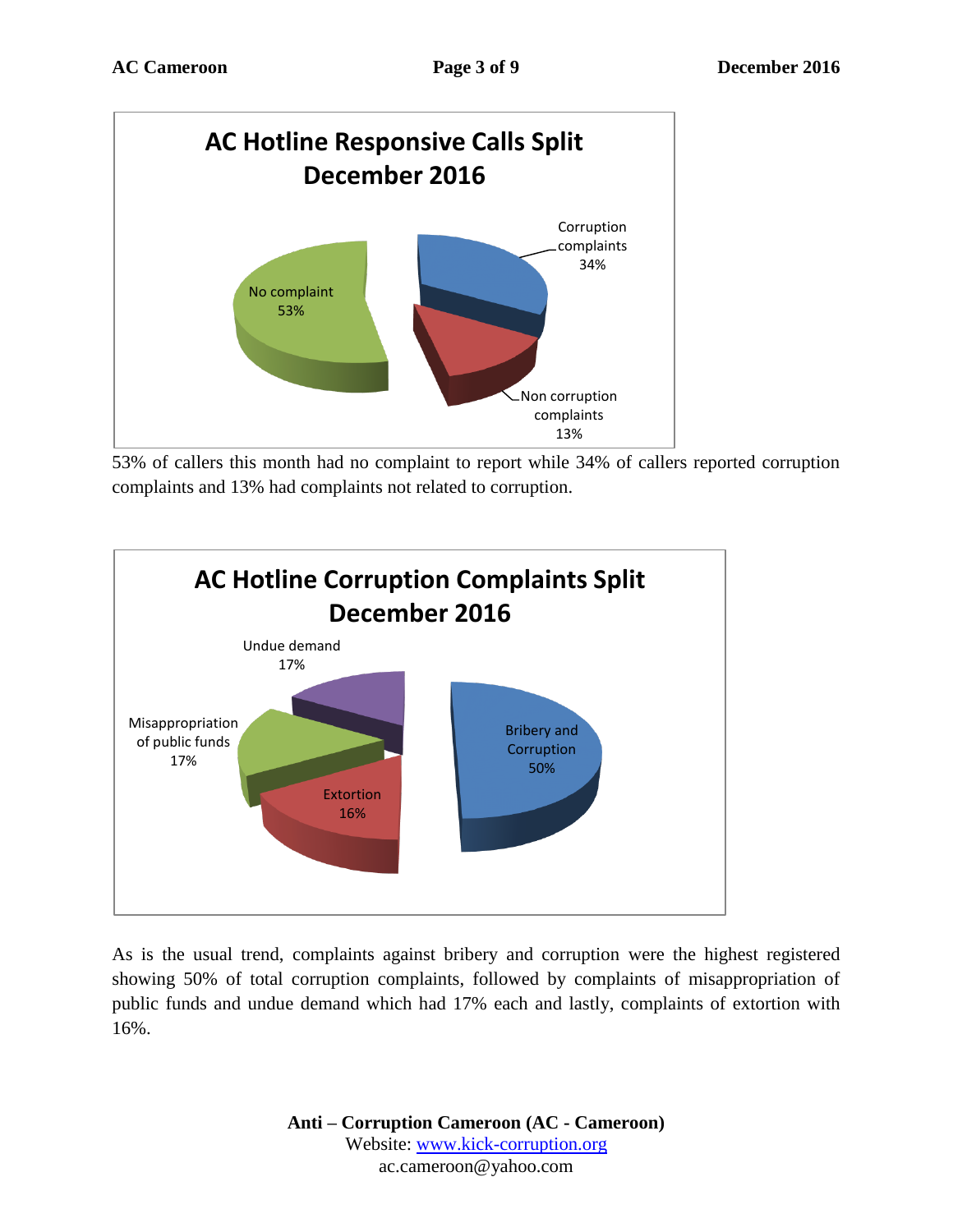

53% of callers this month had no complaint to report while 34% of callers reported corruption complaints and 13% had complaints not related to corruption.



As is the usual trend, complaints against bribery and corruption were the highest registered showing 50% of total corruption complaints, followed by complaints of misappropriation of public funds and undue demand which had 17% each and lastly, complaints of extortion with 16%.

> **Anti – Corruption Cameroon (AC - Cameroon)** Website: [www.kick-corruption.org](http://www.kick-corruption.org/) ac.cameroon@yahoo.com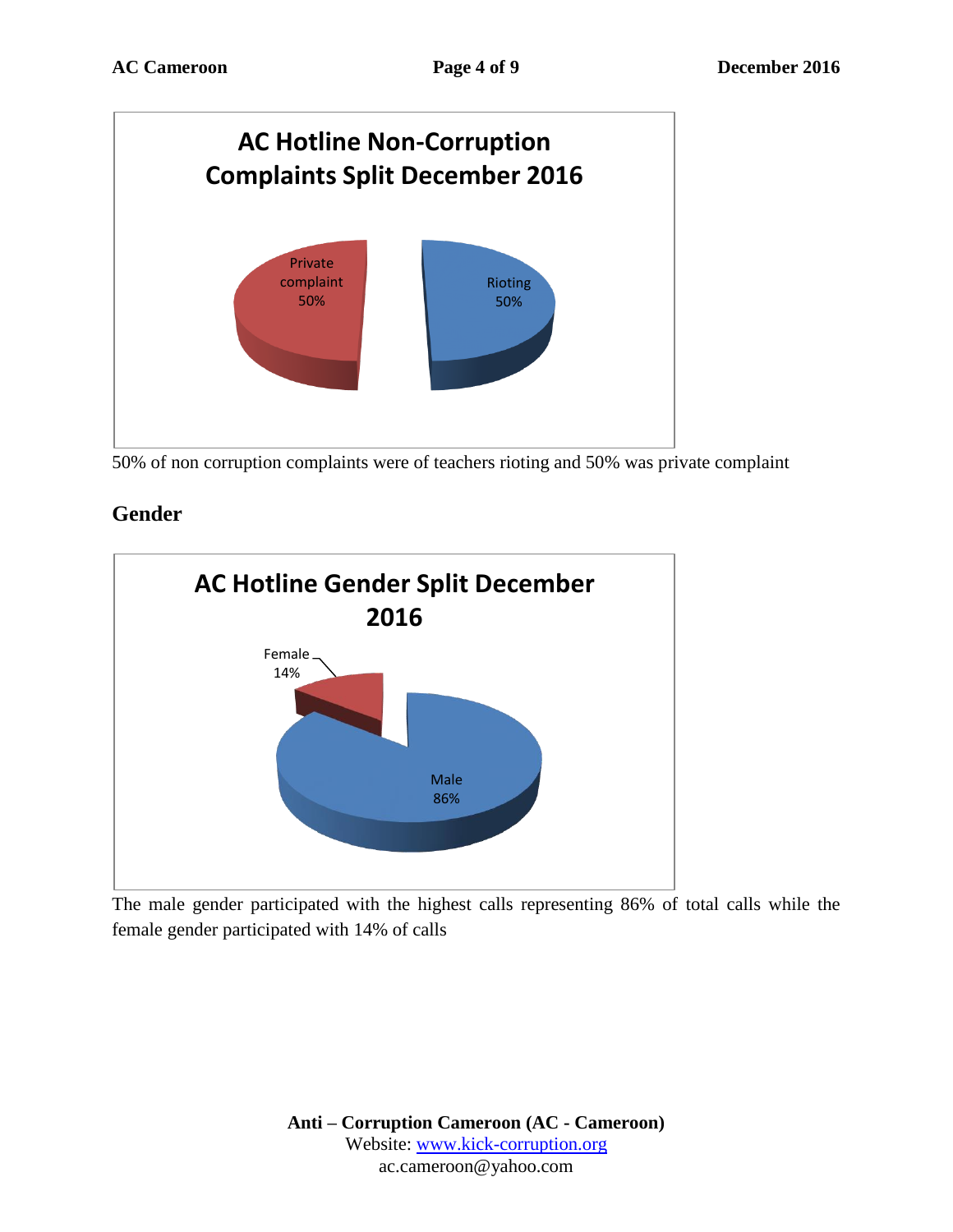

50% of non corruption complaints were of teachers rioting and 50% was private complaint

## **Gender**



The male gender participated with the highest calls representing 86% of total calls while the female gender participated with 14% of calls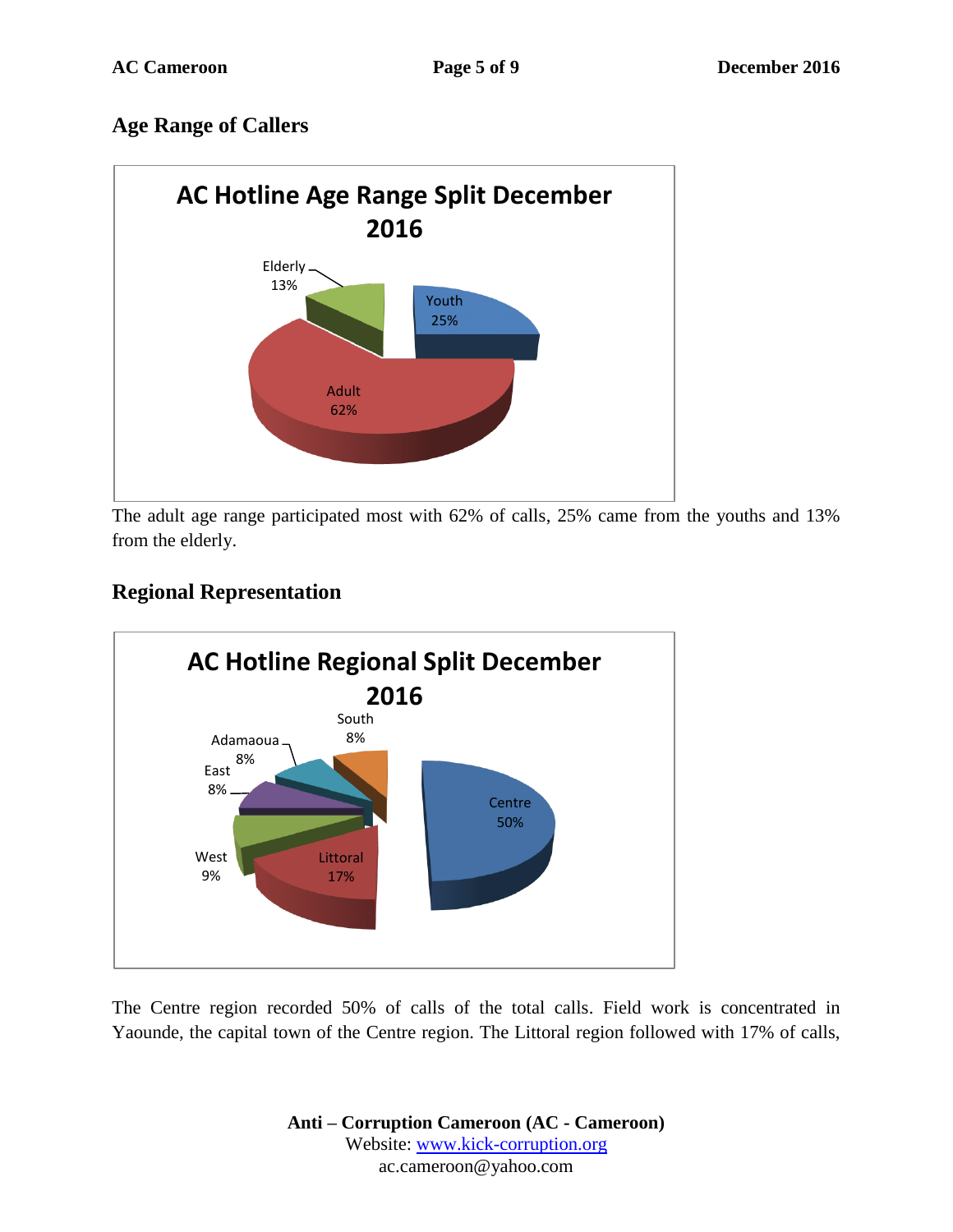## **Age Range of Callers**



The adult age range participated most with 62% of calls, 25% came from the youths and 13% from the elderly.

## **Regional Representation**



The Centre region recorded 50% of calls of the total calls. Field work is concentrated in Yaounde, the capital town of the Centre region. The Littoral region followed with 17% of calls,

> **Anti – Corruption Cameroon (AC - Cameroon)** Website: [www.kick-corruption.org](http://www.kick-corruption.org/) ac.cameroon@yahoo.com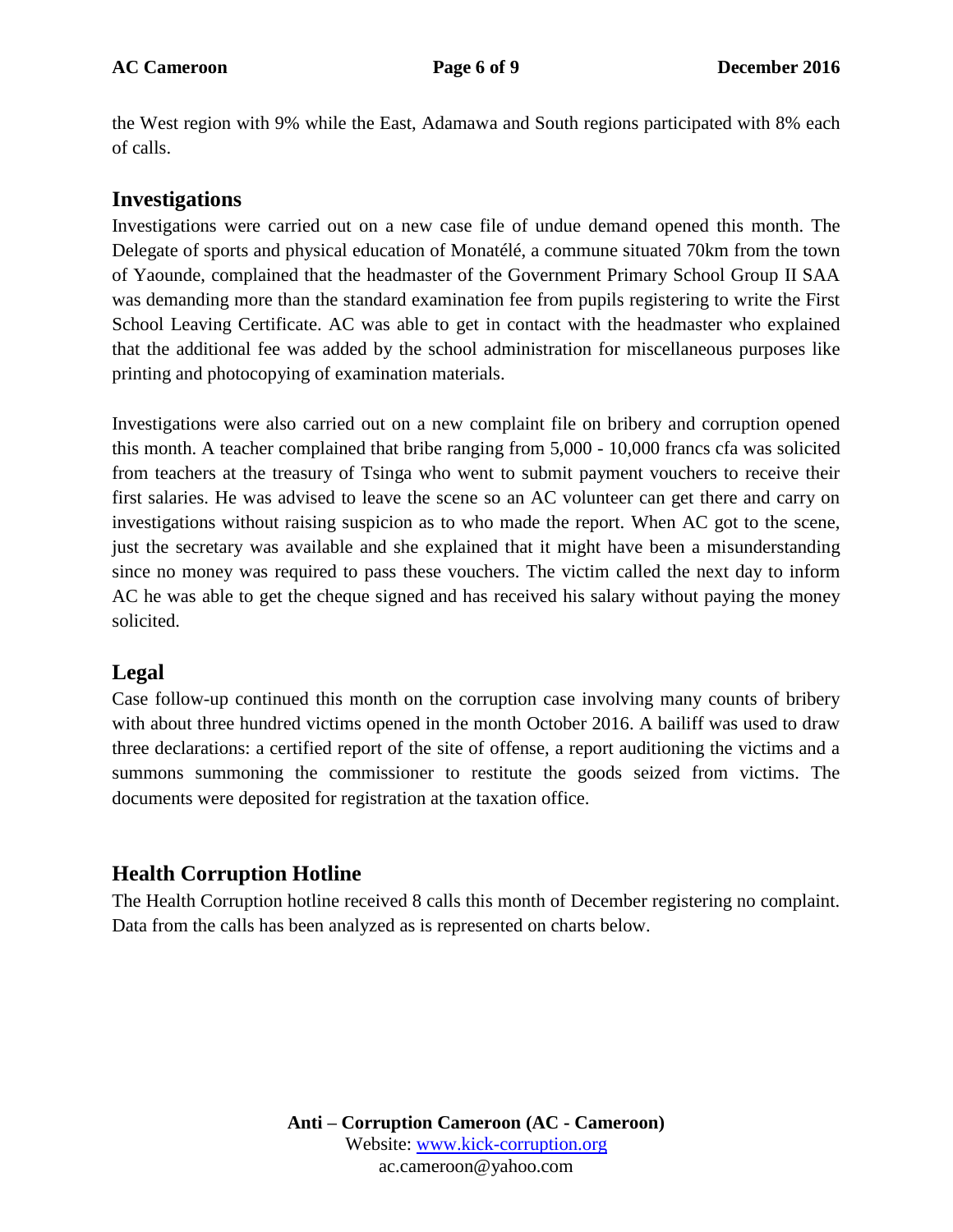the West region with 9% while the East, Adamawa and South regions participated with 8% each of calls.

#### **Investigations**

Investigations were carried out on a new case file of undue demand opened this month. The Delegate of sports and physical education of Monatélé, a commune situated 70km from the town of Yaounde, complained that the headmaster of the Government Primary School Group II SAA was demanding more than the standard examination fee from pupils registering to write the First School Leaving Certificate. AC was able to get in contact with the headmaster who explained that the additional fee was added by the school administration for miscellaneous purposes like printing and photocopying of examination materials.

Investigations were also carried out on a new complaint file on bribery and corruption opened this month. A teacher complained that bribe ranging from 5,000 - 10,000 francs cfa was solicited from teachers at the treasury of Tsinga who went to submit payment vouchers to receive their first salaries. He was advised to leave the scene so an AC volunteer can get there and carry on investigations without raising suspicion as to who made the report. When AC got to the scene, just the secretary was available and she explained that it might have been a misunderstanding since no money was required to pass these vouchers. The victim called the next day to inform AC he was able to get the cheque signed and has received his salary without paying the money solicited.

### **Legal**

Case follow-up continued this month on the corruption case involving many counts of bribery with about three hundred victims opened in the month October 2016. A bailiff was used to draw three declarations: a certified report of the site of offense, a report auditioning the victims and a summons summoning the commissioner to restitute the goods seized from victims. The documents were deposited for registration at the taxation office.

## **Health Corruption Hotline**

The Health Corruption hotline received 8 calls this month of December registering no complaint. Data from the calls has been analyzed as is represented on charts below.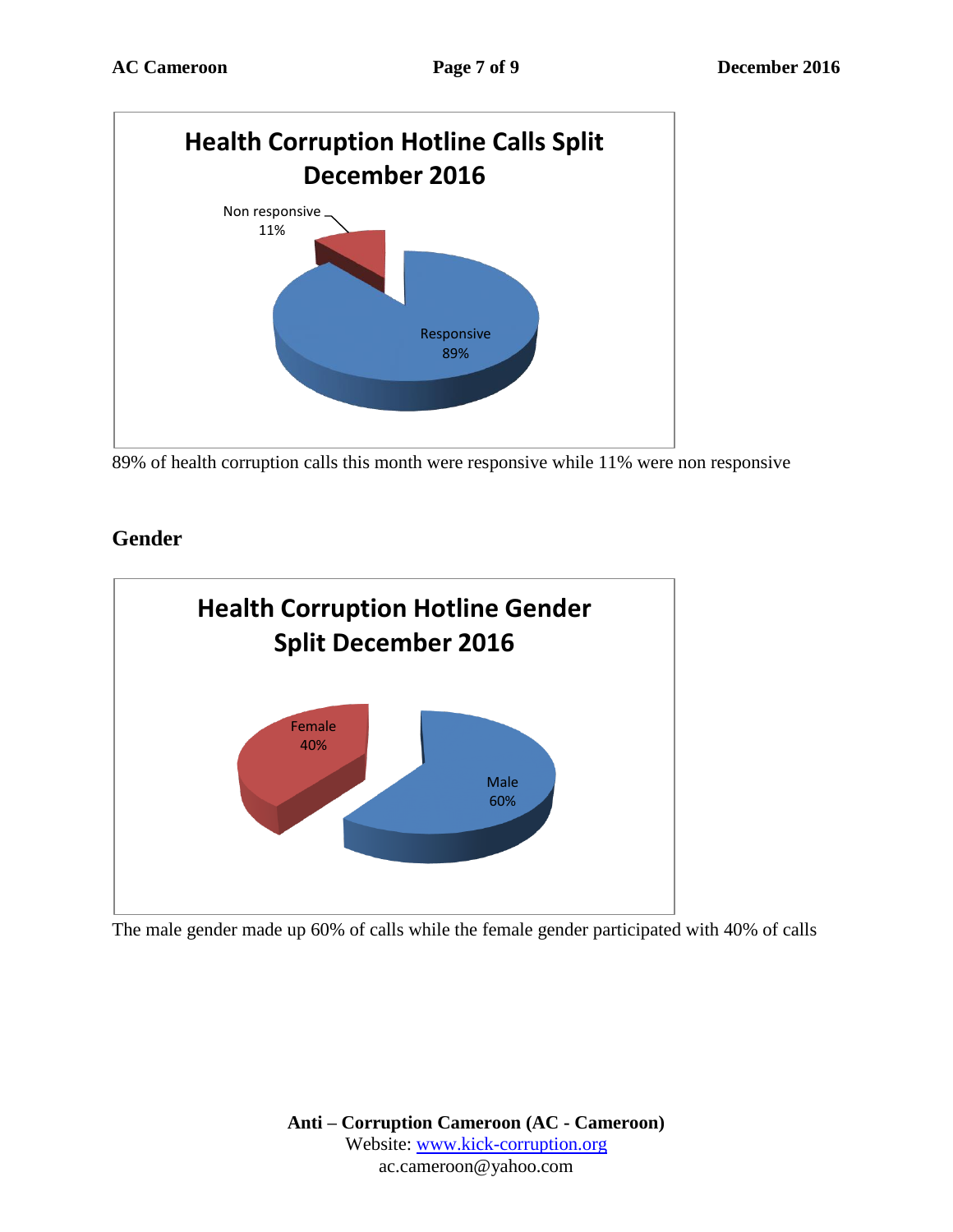

89% of health corruption calls this month were responsive while 11% were non responsive

## **Gender**



The male gender made up 60% of calls while the female gender participated with 40% of calls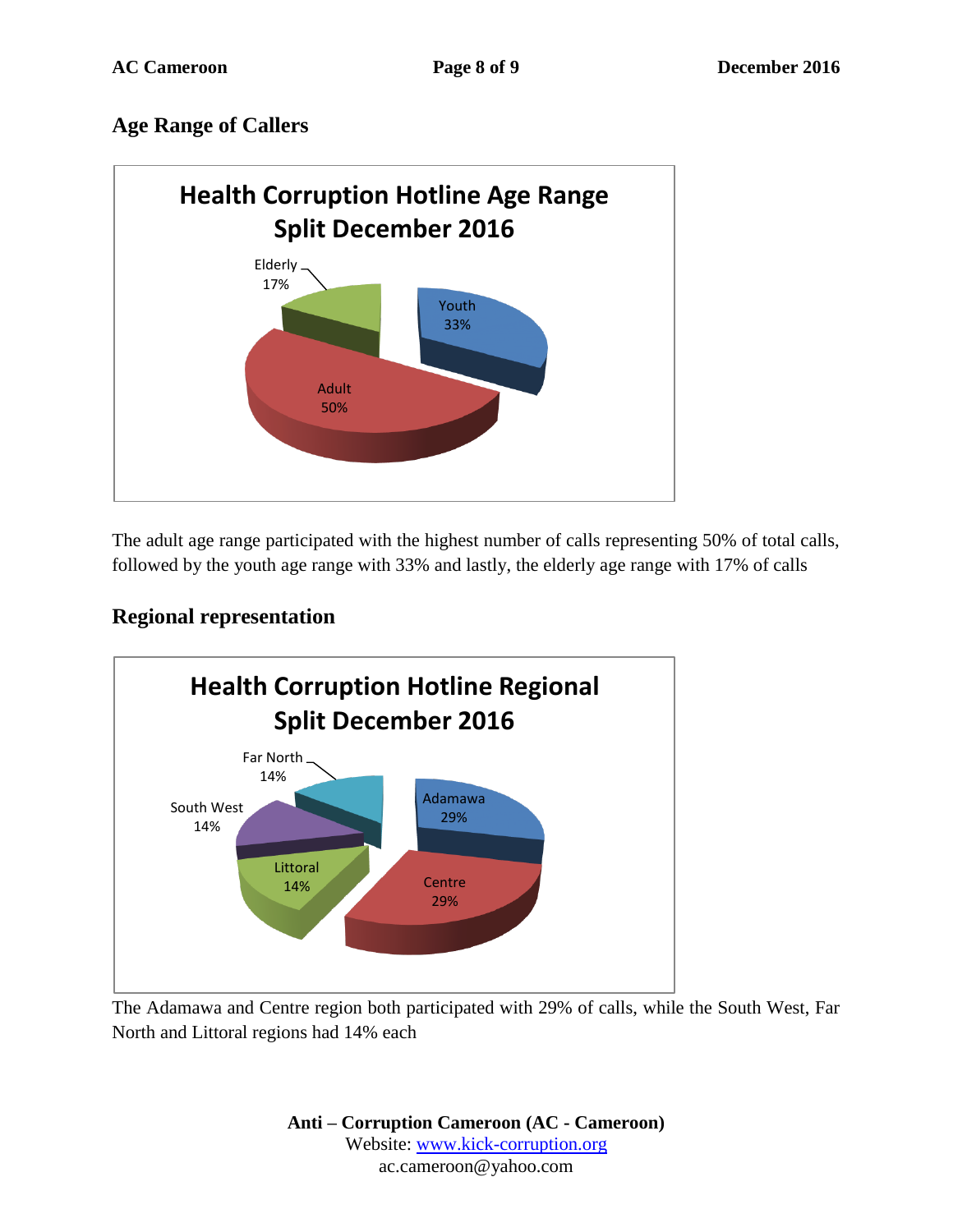## **Age Range of Callers**



The adult age range participated with the highest number of calls representing 50% of total calls, followed by the youth age range with 33% and lastly, the elderly age range with 17% of calls

## **Regional representation**



The Adamawa and Centre region both participated with 29% of calls, while the South West, Far North and Littoral regions had 14% each

> **Anti – Corruption Cameroon (AC - Cameroon)** Website: [www.kick-corruption.org](http://www.kick-corruption.org/) ac.cameroon@yahoo.com